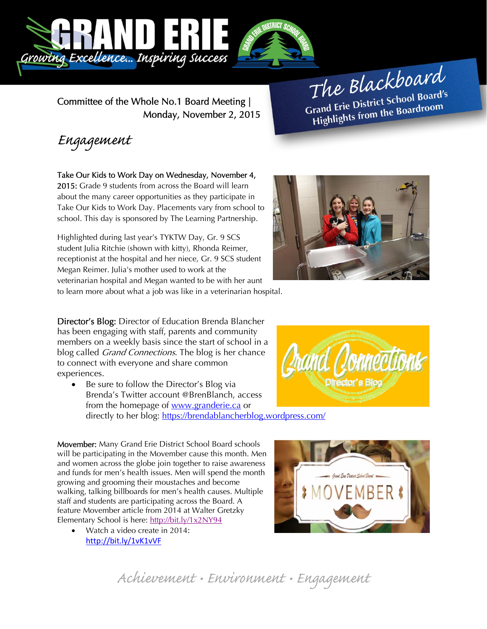

Committee of the Whole No.1 Board Meeting | Monday, November 2, 2015

The Blackboard The Burner School Board's<br>Grand Erie District School Board's rand Erie District Schoor Been<br>Highlights from the Boardroom

Engagement

Take Our Kids to Work Day on Wednesday, November 4, 2015: Grade 9 students from across the Board will learn about the many career opportunities as they participate in Take Our Kids to Work Day. Placements vary from school to school. This day is sponsored by The Learning Partnership.

Highlighted during last year's TYKTW Day, Gr. 9 SCS student Julia Ritchie (shown with kitty), Rhonda Reimer, receptionist at the hospital and her niece, Gr. 9 SCS student Megan Reimer. Julia's mother used to work at the veterinarian hospital and Megan wanted to be with her aunt to learn more about what a job was like in a veterinarian hospital.



Director's Blog: Director of Education Brenda Blancher has been engaging with staff, parents and community members on a weekly basis since the start of school in a blog called *Grand Connections*. The blog is her chance to connect with everyone and share common

experiences. Be sure to follow the Director's Blog via Brenda's Twitter account @BrenBlanch, access from the homepage of <u>www.granderie.ca</u> or directly to her blog: https://brendablancherblog.wordpress.com/

Movember: Many Grand Erie District School Board schools will be participating in the Movember cause this month. Men and women across the globe join together to raise awareness and funds for men's health issues. Men will spend the month growing and grooming their moustaches and become walking, talking billboards for men's health causes. Multiple staff and students are participating across the Board. A feature Movember article from 2014 at Walter Gretzky Elementary School is here: http://bit.ly/1x2NY94

 Watch a video create in 2014: http://bit.ly/1vK1vVF





Achievement • Environment • Engagement